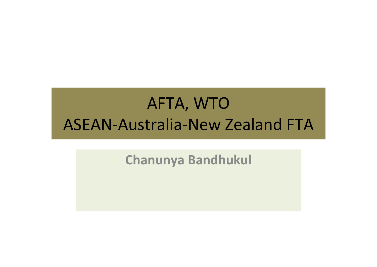# AFTA, WTO ASEAN‐Australia‐New Zealand FTA

**Chanunya Bandhukul**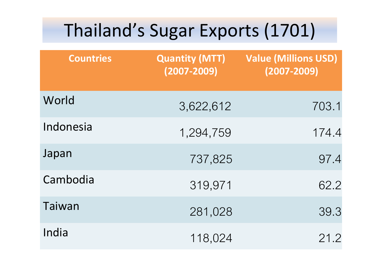# Thailand's Sugar Exports (1701)

| <b>Countries</b> | <b>Quantity (MTT)</b><br>$(2007 - 2009)$ | <b>Value (Millions USD)</b><br>$(2007 - 2009)$ |
|------------------|------------------------------------------|------------------------------------------------|
| World            | 3,622,612                                | 703.1                                          |
| Indonesia        | 1,294,759                                | 174.4                                          |
| Japan            | 737,825                                  | 97.4                                           |
| Cambodia         | 319,971                                  | 62.2                                           |
| Taiwan           | 281,028                                  | 39.3                                           |
| India            | 118,024                                  | 21.2                                           |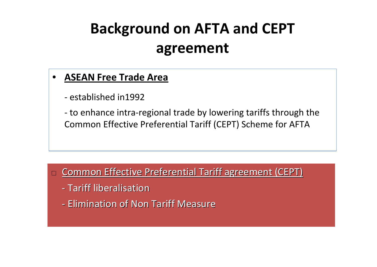# **Background on AFTA and CEPT agreement**

#### • **ASEAN Free Trade Area**

‐ established in1992

‐ to enhance intra‐regional trade by lowering tariffs through the Common Effective Preferential Tariff (CEPT) Scheme for AFTA

#### $\Box$  $\Box$  Common Effective Preferential Tariff agreement (CEPT)

- Tariff liberalisation
- Elimination of Non Tariff Measure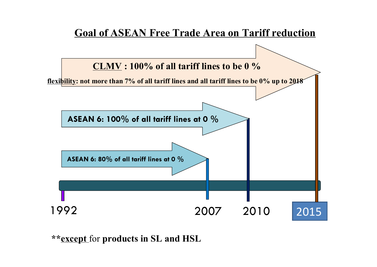

**\*\*except** for **products in SL and HSL**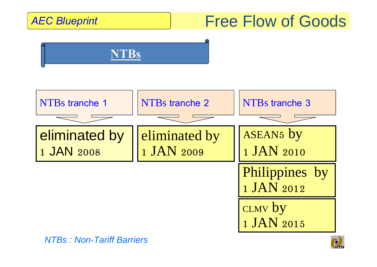# AEC Blueprint **Free Flow of Goods**





*NTBs : Non-Tariff Barriers*

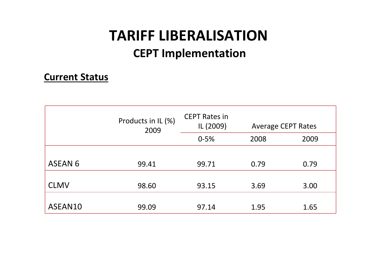# **TARIFF LIBERALISATION**

### **CEPT Implementation**

#### **Current Status**

|                | Products in IL (%)<br>2009 | <b>CEPT Rates in</b><br>IL (2009) |      | <b>Average CEPT Rates</b> |  |
|----------------|----------------------------|-----------------------------------|------|---------------------------|--|
|                |                            | $0 - 5%$                          | 2008 | 2009                      |  |
|                |                            |                                   |      |                           |  |
| <b>ASEAN 6</b> | 99.41                      | 99.71                             | 0.79 | 0.79                      |  |
| <b>CLMV</b>    | 98.60                      | 93.15                             | 3.69 | 3.00                      |  |
| ASEAN10        | 99.09                      | 97.14                             | 1.95 | 1.65                      |  |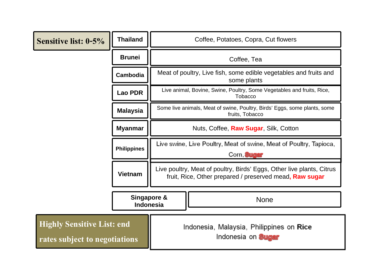| <b>Sensitive list: 0-5%</b>                                        | <b>Thailand</b>    | Coffee, Potatoes, Copra, Cut flowers                                                                                                                                                                                                                                                                           |  |  |
|--------------------------------------------------------------------|--------------------|----------------------------------------------------------------------------------------------------------------------------------------------------------------------------------------------------------------------------------------------------------------------------------------------------------------|--|--|
|                                                                    | <b>Brunei</b>      | Coffee, Tea                                                                                                                                                                                                                                                                                                    |  |  |
|                                                                    | Cambodia           | Meat of poultry, Live fish, some edible vegetables and fruits and<br>some plants<br>Live animal, Bovine, Swine, Poultry, Some Vegetables and fruits, Rice,<br>Tobacco<br>Some live animals, Meat of swine, Poultry, Birds' Eggs, some plants, some<br>fruits, Tobacco<br>Nuts, Coffee, Raw Sugar, Silk, Cotton |  |  |
|                                                                    | <b>Lao PDR</b>     |                                                                                                                                                                                                                                                                                                                |  |  |
|                                                                    | <b>Malaysia</b>    |                                                                                                                                                                                                                                                                                                                |  |  |
|                                                                    | <b>Myanmar</b>     |                                                                                                                                                                                                                                                                                                                |  |  |
|                                                                    | <b>Philippines</b> | Live swine, Live Poultry, Meat of swine, Meat of Poultry, Tapioca,<br>Corn, <b>Sugar</b><br>Live poultry, Meat of poultry, Birds' Eggs, Other live plants, Citrus<br>fruit, Rice, Other prepared / preserved mead, Raw sugar                                                                                   |  |  |
|                                                                    | <b>Vietnam</b>     |                                                                                                                                                                                                                                                                                                                |  |  |
|                                                                    |                    | Singapore &<br><b>None</b><br><b>Indonesia</b>                                                                                                                                                                                                                                                                 |  |  |
| <b>Highly Sensitive List: end</b><br>rates subject to negotiations |                    | Indonesia, Malaysia, Philippines on Rice<br>Indonesia on Sugar                                                                                                                                                                                                                                                 |  |  |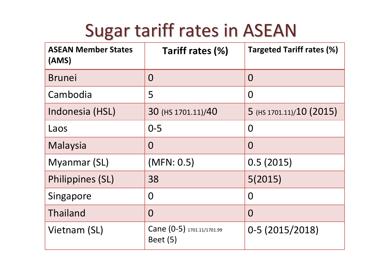# Sugar tariff rates in ASEAN

| <b>ASEAN Member States</b><br>(AMS) | Tariff rates (%)                              | <b>Targeted Tariff rates (%)</b> |
|-------------------------------------|-----------------------------------------------|----------------------------------|
| <b>Brunei</b>                       | $\Omega$                                      | $\Omega$                         |
| Cambodia                            | 5                                             | $\Omega$                         |
| Indonesia (HSL)                     | 30 (HS 1701.11)/40                            | 5 (HS 1701.11)/10 (2015)         |
| Laos                                | $0 - 5$                                       | O                                |
| Malaysia                            | $\overline{0}$                                | $\Omega$                         |
| Myanmar (SL)                        | (MFN: 0.5)                                    | 0.5(2015)                        |
| Philippines (SL)                    | 38                                            | 5(2015)                          |
| Singapore                           | $\overline{0}$                                | $\Omega$                         |
| Thailand                            | $\overline{0}$                                | $\Omega$                         |
| Vietnam (SL)                        | Cane (0-5) 1701.11/1701.99<br><b>Beet</b> (5) | 0-5 (2015/2018)                  |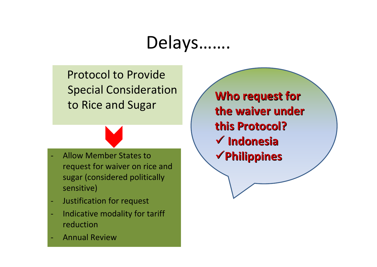# Delays…….

Protocol to Provide Special Consideration to Rice and Sugar



- Justification for request
- Indicative modality for tariff reduction
- Annual Review

**Who request request for the waiver under this Protocol? Protocol?**9 **Indonesia Indonesia**<sup>9</sup>**Philippines Philippines**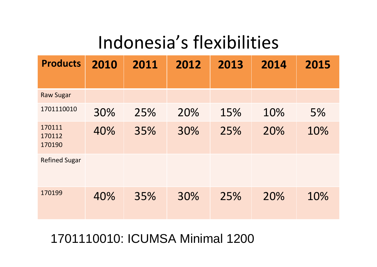# Indonesia's flexibilities

| <b>Products</b>            | 2010 | 2011 | 2012 | 2013 | 2014 | 2015 |
|----------------------------|------|------|------|------|------|------|
|                            |      |      |      |      |      |      |
| <b>Raw Sugar</b>           |      |      |      |      |      |      |
| 1701110010                 | 30%  | 25%  | 20%  | 15%  | 10%  | 5%   |
| 170111<br>170112<br>170190 | 40%  | 35%  | 30%  | 25%  | 20%  | 10%  |
| <b>Refined Sugar</b>       |      |      |      |      |      |      |
| 170199                     | 40%  | 35%  | 30%  | 25%  | 20%  | 10%  |

## 1701110010: ICUMSA Minimal 1200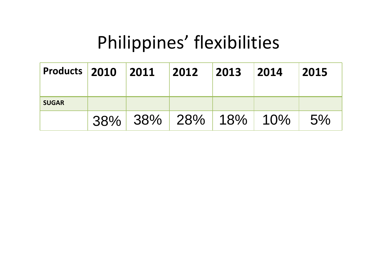# Philippines' flexibilities

| <b>Products 2010 2011</b> |  | $ 2012 $ $ 2013 $ $ 2014 $ |  | 2015 |
|---------------------------|--|----------------------------|--|------|
| <b>SUGAR</b>              |  |                            |  |      |
|                           |  | 38% 38% 28% 18% 10%        |  | 5%   |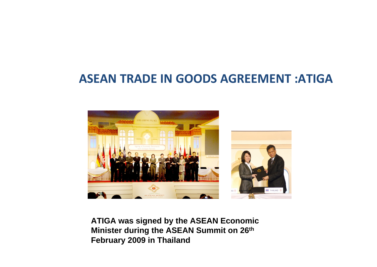## **ASEAN TRADE IN GOODS AGREEMENT :ATIGA**



**ATIGA was signed by the ASEAN Economic Minister during the ASEAN Summit on 26th February 2009 in Thailand**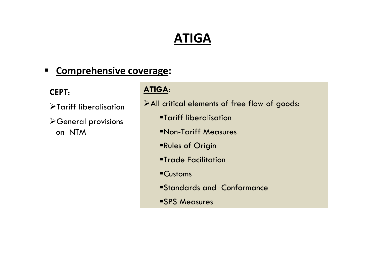## **ATIGA**

#### $\blacksquare$ **Comprehensive coverage:**

#### **CEPT**:

- $\blacktriangleright$ Tariff liberalisation
- ¾General provisions on NTM

#### **ATIGA**:

¾All critical elements of free flow of goods:

- Tariff liberalisation
- Non-Tariff Measures
- Rules of Origin
- Trade Facilitation
- Customs
- Standards and Conformance
- SPS Measures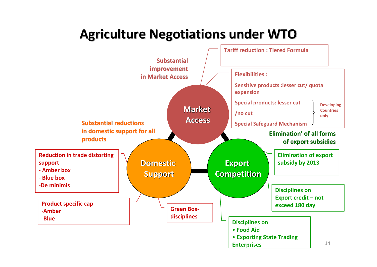## **Agriculture Agriculture Negotiations Negotiations under WTO**

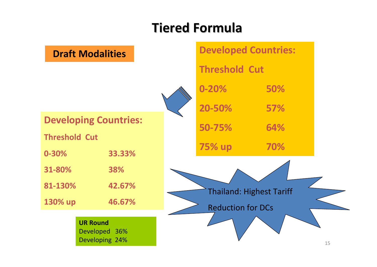## **Tiered Formula Formula**

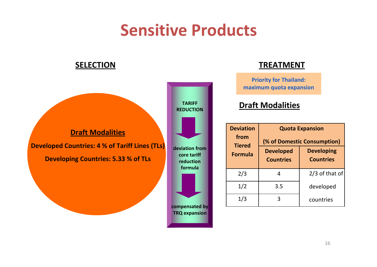# **Sensitive Products**

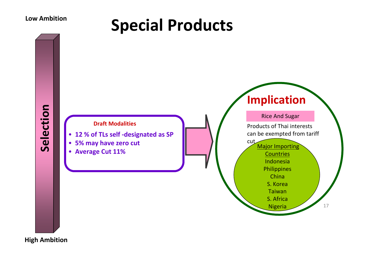# **Special Products Low Ambition**



**High Ambition**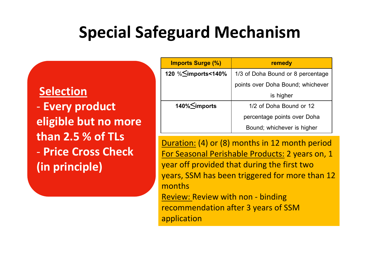# **Special Safeguard Mechanism**

#### **Selection**

‐ **Every product eligible but no more than 2.5 % of TLs** ‐ **Price Cross Check (in principle)**

| <b>Imports Surge (%)</b> | remedy                            |  |
|--------------------------|-----------------------------------|--|
| 120 % Simports<140%      | 1/3 of Doha Bound or 8 percentage |  |
|                          | points over Doha Bound; whichever |  |
|                          | is higher                         |  |
| 140% Simports            | 1/2 of Doha Bound or 12           |  |
|                          | percentage points over Doha       |  |
|                          | Bound; whichever is higher        |  |

Duration: (4) or (8) months in 12 month period For Seasonal Perishable Products: 2 years on, 1 year off provided that during the first two years, SSM has been triggered for more than 12 months

Review: Review with non ‐ binding recommendation after 3 years of SSM application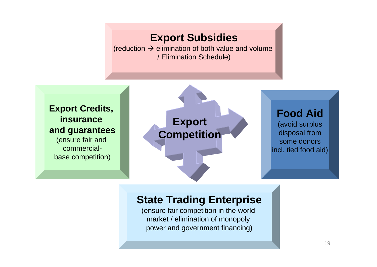#### **Export Subsidies**

(reduction  $\rightarrow$  elimination of both value and volume / Elimination Schedule)

**Export Credits, insurance and guarantees**

(ensure fair and commercialbase competition)



#### **Food Aid**

(avoid surplus disposal from some donorsincl. tied food aid)

#### **State Trading Enterprise**

(ensure fair competition in the world market / elimination of monopoly power and government financing)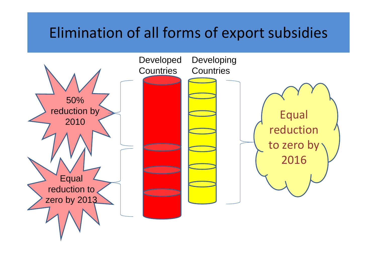## Elimination of all forms of export subsidies

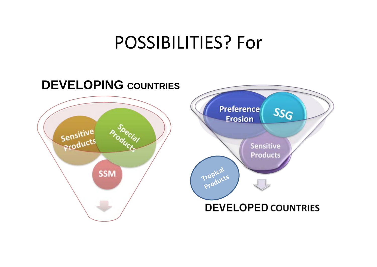# POSSIBILITIES? For

#### **DEVELOPING COUNTRIES Preference**  $SSG$ **Erosion** Sensitive **Product! Sensitive Products Tropical SSM ProductsDEVELOPED COUNTRIES**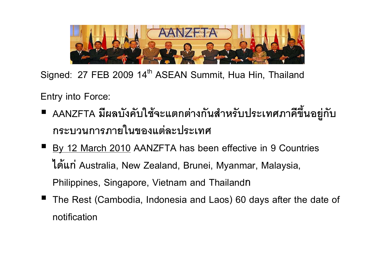

**Signed**: **<sup>27</sup> FEB <sup>2009</sup> <sup>14</sup>th ASEAN Summit, Hua Hin, Thailand**

**Entry into Force:**

- ■ AANZFTA มีผลบังคับใช้จะแตกต่างกันสำหรับประเทศภาคีขึ้นอยู่กั AANZFTA มผลบงคบเช<sub>็</sub>จะแตกตางกนสาหรบบระเทศภาคขนอยูกบ<br>กระบวนการภายในของแต่ละประเทศ
- **By 12 March 2010 AANZFTA has been effective in 9 Countries ไดแก Australia, New Zealand, Brunei, Myanmar, Malaysia, Philippines, Singapore, Vietnam and Thailand<sup>ก</sup>**
- **The Rest (Cambodia, Indonesia and Laos) 60 days after the date of notification**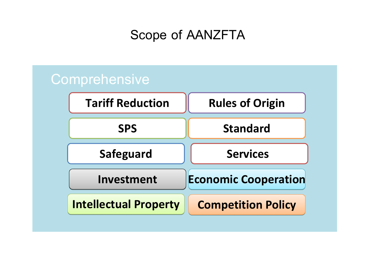**Scope of AANZFTA**

## **Comprehensive Tariff Reduction Rules of Origin SPS StandardSafeguard Investment InvestmentIntellectual Property ServicesEconomic Economic Cooperation Cooperation Competition Competition Policy**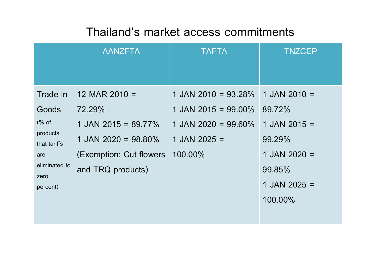## **Thailand's market access commitments**

|                          | <b>AANZFTA</b>           | <b>TAFTA</b>           | <b>TNZCEP</b>  |
|--------------------------|--------------------------|------------------------|----------------|
|                          |                          |                        |                |
| Trade in                 | 12 MAR 2010 $=$          | 1 JAN 2010 = $93.28\%$ | 1 JAN 2010 $=$ |
| Goods                    | 72.29%                   | 1 JAN 2015 = $99.00\%$ | 89.72%         |
| $(\%$ of                 | 1 JAN 2015 = 89.77%      | 1 JAN 2020 = 99.60%    | 1 JAN 2015 $=$ |
| products<br>that tariffs | 1 JAN 2020 = 98.80%      | 1 JAN 2025 $=$         | 99.29%         |
| are                      | (Exemption: Cut flowers) | 100.00%                | 1 JAN 2020 $=$ |
| eliminated to<br>zero    | and TRQ products)        |                        | 99.85%         |
| percent)                 |                          |                        | 1 JAN 2025 $=$ |
|                          |                          |                        | 100.00%        |
|                          |                          |                        |                |